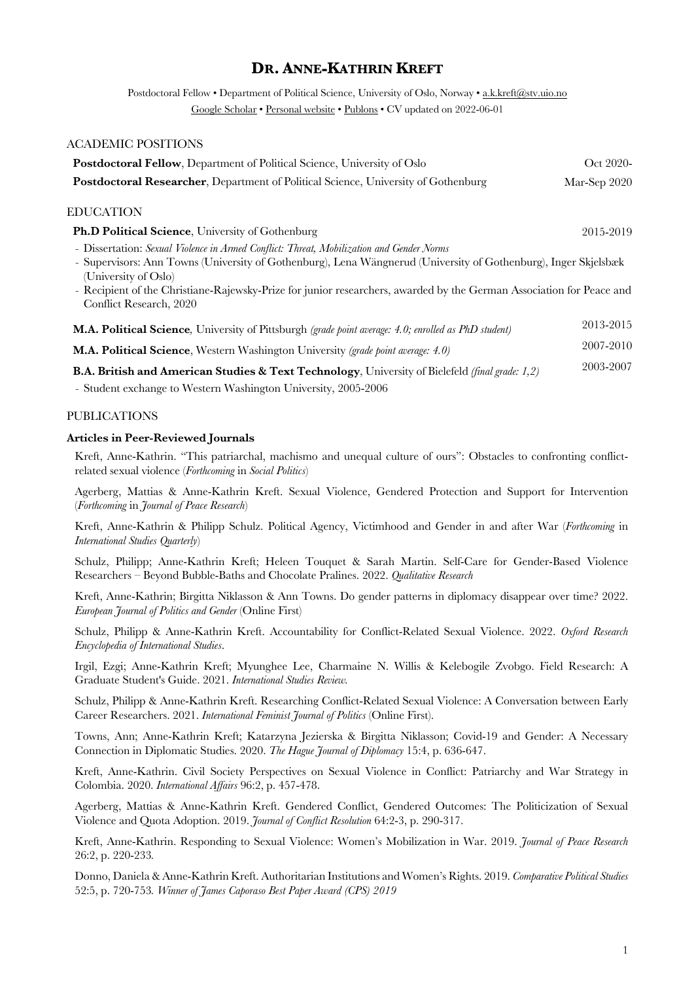# **DR. ANNE-KATHRIN KREFT**

Postdoctoral Fellow • Department of Political Science, University of Oslo, Norway • a.k.kreft@stv.uio.no Google Scholar • Personal website • Publons • CV updated on 2022-06-01

# ACADEMIC POSITIONS **Postdoctoral Fellow**, Department of Political Science, University of Oslo **Oct 2020-** Oct 2020-**Postdoctoral Researcher**, Department of Political Science, University of Gothenburg Mar-Sep 2020 EDUCATION **Ph.D Political Science**, University of Gothenburg 2015-2019 - Dissertation: *Sexual Violence in Armed Conflict: Threat, Mobilization and Gender Norms* - Supervisors: Ann Towns (University of Gothenburg), Lena Wängnerud (University of Gothenburg), Inger Skjelsbæk (University of Oslo) - Recipient of the Christiane-Rajewsky-Prize for junior researchers, awarded by the German Association for Peace and Conflict Research, 2020 **M.A. Political Science***,* University of Pittsburgh *(grade point average: 4.0; enrolled as PhD student)* 2013-2015 **M.A. Political Science**, Western Washington University *(grade point average: 4.0)* 2007-2010

**B.A. British and American Studies & Text Technology**, University of Bielefeld *(final grade: 1,2)* 2003-2007

- Student exchange to Western Washington University, 2005-2006

#### PUBLICATIONS

#### **Articles in Peer-Reviewed Journals**

Kreft, Anne-Kathrin. "This patriarchal, machismo and unequal culture of ours": Obstacles to confronting conflictrelated sexual violence (*Forthcoming* in *Social Politics*)

Agerberg, Mattias & Anne-Kathrin Kreft. Sexual Violence, Gendered Protection and Support for Intervention (*Forthcoming* in *Journal of Peace Research*)

Kreft, Anne-Kathrin & Philipp Schulz. Political Agency, Victimhood and Gender in and after War (*Forthcoming* in *International Studies Quarterly*)

Schulz, Philipp; Anne-Kathrin Kreft; Heleen Touquet & Sarah Martin. Self-Care for Gender-Based Violence Researchers – Beyond Bubble-Baths and Chocolate Pralines. 2022. *Qualitative Research*

Kreft, Anne-Kathrin; Birgitta Niklasson & Ann Towns. Do gender patterns in diplomacy disappear over time? 2022. *European Journal of Politics and Gender* (Online First)

Schulz, Philipp & Anne-Kathrin Kreft. Accountability for Conflict-Related Sexual Violence. 2022. *Oxford Research Encyclopedia of International Studies*.

Irgil, Ezgi; Anne-Kathrin Kreft; Myunghee Lee, Charmaine N. Willis & Kelebogile Zvobgo. Field Research: A Graduate Student's Guide. 2021. *International Studies Review.*

Schulz, Philipp & Anne-Kathrin Kreft. Researching Conflict-Related Sexual Violence: A Conversation between Early Career Researchers. 2021. *International Feminist Journal of Politics* (Online First).

Towns, Ann; Anne-Kathrin Kreft; Katarzyna Jezierska & Birgitta Niklasson; Covid-19 and Gender: A Necessary Connection in Diplomatic Studies. 2020. *The Hague Journal of Diplomacy* 15:4, p. 636-647.

Kreft, Anne-Kathrin. Civil Society Perspectives on Sexual Violence in Conflict: Patriarchy and War Strategy in Colombia. 2020. *International Affairs* 96:2, p. 457-478.

Agerberg, Mattias & Anne-Kathrin Kreft. Gendered Conflict, Gendered Outcomes: The Politicization of Sexual Violence and Quota Adoption. 2019. *Journal of Conflict Resolution* 64:2-3, p. 290-317.

Kreft, Anne-Kathrin. Responding to Sexual Violence: Women's Mobilization in War. 2019. *Journal of Peace Research*  26:2, p. 220-233*.* 

Donno, Daniela & Anne-Kathrin Kreft. Authoritarian Institutions and Women's Rights. 2019. *Comparative Political Studies* 52:5, p. 720-753*. Winner of James Caporaso Best Paper Award (CPS) 2019*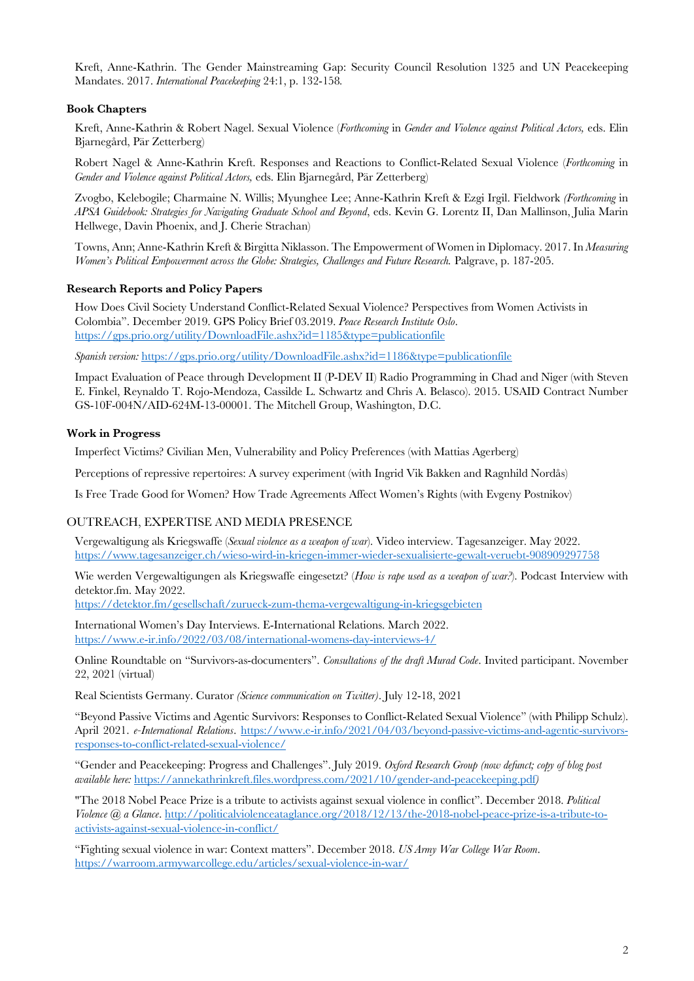Kreft, Anne-Kathrin. The Gender Mainstreaming Gap: Security Council Resolution 1325 and UN Peacekeeping Mandates. 2017. *International Peacekeeping* 24:1, p. 132-158*.*

#### **Book Chapters**

Kreft, Anne-Kathrin & Robert Nagel. Sexual Violence (*Forthcoming* in *Gender and Violence against Political Actors,* eds. Elin Bjarnegård, Pär Zetterberg)

Robert Nagel & Anne-Kathrin Kreft. Responses and Reactions to Conflict-Related Sexual Violence (*Forthcoming* in *Gender and Violence against Political Actors,* eds. Elin Bjarnegård, Pär Zetterberg)

Zvogbo, Kelebogile; Charmaine N. Willis; Myunghee Lee; Anne-Kathrin Kreft & Ezgi Irgil. Fieldwork *(Forthcoming* in *APSA Guidebook: Strategies for Navigating Graduate School and Beyond*, eds. Kevin G. Lorentz II, Dan Mallinson, Julia Marin Hellwege, Davin Phoenix, and J. Cherie Strachan)

Towns, Ann; Anne-Kathrin Kreft & Birgitta Niklasson. The Empowerment of Women in Diplomacy. 2017. In *Measuring Women's Political Empowerment across the Globe: Strategies, Challenges and Future Research.* Palgrave, p. 187-205.

#### **Research Reports and Policy Papers**

How Does Civil Society Understand Conflict-Related Sexual Violence? Perspectives from Women Activists in Colombia". December 2019. GPS Policy Brief 03.2019. *Peace Research Institute Oslo*. https://gps.prio.org/utility/DownloadFile.ashx?id=1185&type=publicationfile

*Spanish version:* https://gps.prio.org/utility/DownloadFile.ashx?id=1186&type=publicationfile

Impact Evaluation of Peace through Development II (P-DEV II) Radio Programming in Chad and Niger (with Steven E. Finkel, Reynaldo T. Rojo-Mendoza, Cassilde L. Schwartz and Chris A. Belasco). 2015. USAID Contract Number GS-10F-004N/AID-624M-13-00001. The Mitchell Group, Washington, D.C.

#### **Work in Progress**

Imperfect Victims? Civilian Men, Vulnerability and Policy Preferences (with Mattias Agerberg)

Perceptions of repressive repertoires: A survey experiment (with Ingrid Vik Bakken and Ragnhild Nordås)

Is Free Trade Good for Women? How Trade Agreements Affect Women's Rights (with Evgeny Postnikov)

# OUTREACH, EXPERTISE AND MEDIA PRESENCE

Vergewaltigung als Kriegswaffe (*Sexual violence as a weapon of war*). Video interview. Tagesanzeiger. May 2022. https://www.tagesanzeiger.ch/wieso-wird-in-kriegen-immer-wieder-sexualisierte-gewalt-veruebt-908909297758

Wie werden Vergewaltigungen als Kriegswaffe eingesetzt? (*How is rape used as a weapon of war?*). Podcast Interview with detektor.fm. May 2022.

https://detektor.fm/gesellschaft/zurueck-zum-thema-vergewaltigung-in-kriegsgebieten

International Women's Day Interviews. E-International Relations. March 2022. https://www.e-ir.info/2022/03/08/international-womens-day-interviews-4/

Online Roundtable on "Survivors-as-documenters". *Consultations of the draft Murad Code*. Invited participant. November 22, 2021 (virtual)

Real Scientists Germany. Curator *(Science communication on Twitter)*. July 12-18, 2021

"Beyond Passive Victims and Agentic Survivors: Responses to Conflict-Related Sexual Violence" (with Philipp Schulz). April 2021. *e-International Relations*. https://www.e-ir.info/2021/04/03/beyond-passive-victims-and-agentic-survivorsresponses-to-conflict-related-sexual-violence/

"Gender and Peacekeeping: Progress and Challenges". July 2019. *Oxford Research Group (now defunct; copy of blog post available here:* https://annekathrinkreft.files.wordpress.com/2021/10/gender-and-peacekeeping.pdf*)*

"The 2018 Nobel Peace Prize is a tribute to activists against sexual violence in conflict". December 2018. *Political Violence @ a Glance*. http://politicalviolenceataglance.org/2018/12/13/the-2018-nobel-peace-prize-is-a-tribute-toactivists-against-sexual-violence-in-conflict/

"Fighting sexual violence in war: Context matters". December 2018. *US Army War College War Room*. https://warroom.armywarcollege.edu/articles/sexual-violence-in-war/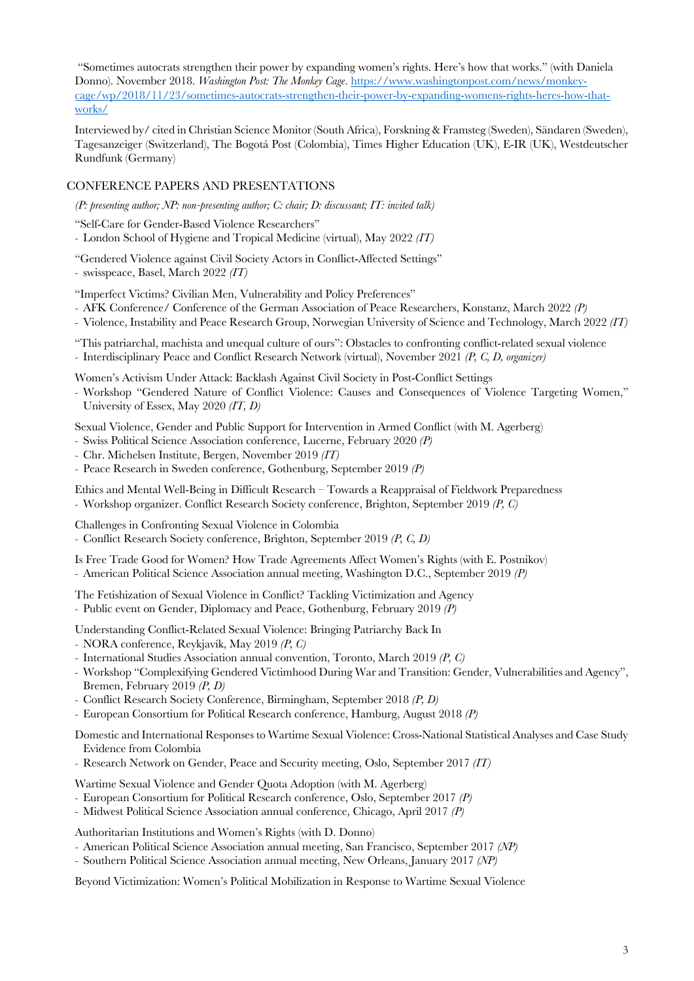"Sometimes autocrats strengthen their power by expanding women's rights. Here's how that works." (with Daniela Donno). November 2018. *Washington Post: The Monkey Cage*. https://www.washingtonpost.com/news/monkeycage/wp/2018/11/23/sometimes-autocrats-strengthen-their-power-by-expanding-womens-rights-heres-how-thatworks/

Interviewed by/ cited in Christian Science Monitor (South Africa), Forskning & Framsteg (Sweden), Sändaren (Sweden), Tagesanzeiger (Switzerland), The Bogotá Post (Colombia), Times Higher Education (UK), E-IR (UK), Westdeutscher Rundfunk (Germany)

# CONFERENCE PAPERS AND PRESENTATIONS

*(P: presenting author; NP: non-presenting author; C: chair; D: discussant; IT: invited talk)*

"Self-Care for Gender-Based Violence Researchers"

- London School of Hygiene and Tropical Medicine (virtual), May 2022 *(IT)*

"Gendered Violence against Civil Society Actors in Conflict-Affected Settings"

- swisspeace, Basel, March 2022 *(IT)*

"Imperfect Victims? Civilian Men, Vulnerability and Policy Preferences"

- AFK Conference/ Conference of the German Association of Peace Researchers, Konstanz, March 2022 *(P)*
- Violence, Instability and Peace Research Group, Norwegian University of Science and Technology, March 2022 *(IT)*

"This patriarchal, machista and unequal culture of ours": Obstacles to confronting conflict-related sexual violence - Interdisciplinary Peace and Conflict Research Network (virtual), November 2021 *(P, C, D, organizer)*

Women's Activism Under Attack: Backlash Against Civil Society in Post-Conflict Settings

- Workshop "Gendered Nature of Conflict Violence: Causes and Consequences of Violence Targeting Women," University of Essex, May 2020 *(IT, D)*

Sexual Violence, Gender and Public Support for Intervention in Armed Conflict (with M. Agerberg)

- Swiss Political Science Association conference, Lucerne, February 2020 *(P)*
- Chr. Michelsen Institute, Bergen, November 2019 *(IT)*
- Peace Research in Sweden conference, Gothenburg, September 2019 *(P)*

Ethics and Mental Well-Being in Difficult Research – Towards a Reappraisal of Fieldwork Preparedness - Workshop organizer. Conflict Research Society conference, Brighton, September 2019 *(P, C)*

Challenges in Confronting Sexual Violence in Colombia

- Conflict Research Society conference, Brighton, September 2019 *(P, C, D)*

Is Free Trade Good for Women? How Trade Agreements Affect Women's Rights (with E. Postnikov)

- American Political Science Association annual meeting, Washington D.C., September 2019 *(P)*

The Fetishization of Sexual Violence in Conflict? Tackling Victimization and Agency - Public event on Gender, Diplomacy and Peace, Gothenburg, February 2019 *(P)*

Understanding Conflict-Related Sexual Violence: Bringing Patriarchy Back In

- NORA conference, Reykjavík, May 2019 *(P, C)*
- International Studies Association annual convention, Toronto, March 2019 *(P, C)*
- Workshop "Complexifying Gendered Victimhood During War and Transition: Gender, Vulnerabilities and Agency", Bremen, February 2019 *(P, D)*
- Conflict Research Society Conference, Birmingham, September 2018 *(P, D)*
- European Consortium for Political Research conference, Hamburg, August 2018 *(P)*

Domestic and International Responses to Wartime Sexual Violence: Cross-National Statistical Analyses and Case Study Evidence from Colombia

- Research Network on Gender, Peace and Security meeting, Oslo, September 2017 *(IT)*

Wartime Sexual Violence and Gender Quota Adoption (with M. Agerberg)

- European Consortium for Political Research conference, Oslo, September 2017 *(P)*

- Midwest Political Science Association annual conference, Chicago, April 2017 *(P)*

Authoritarian Institutions and Women's Rights (with D. Donno)

- American Political Science Association annual meeting, San Francisco, September 2017 *(NP)*
- Southern Political Science Association annual meeting, New Orleans, January 2017 *(NP)*

Beyond Victimization: Women's Political Mobilization in Response to Wartime Sexual Violence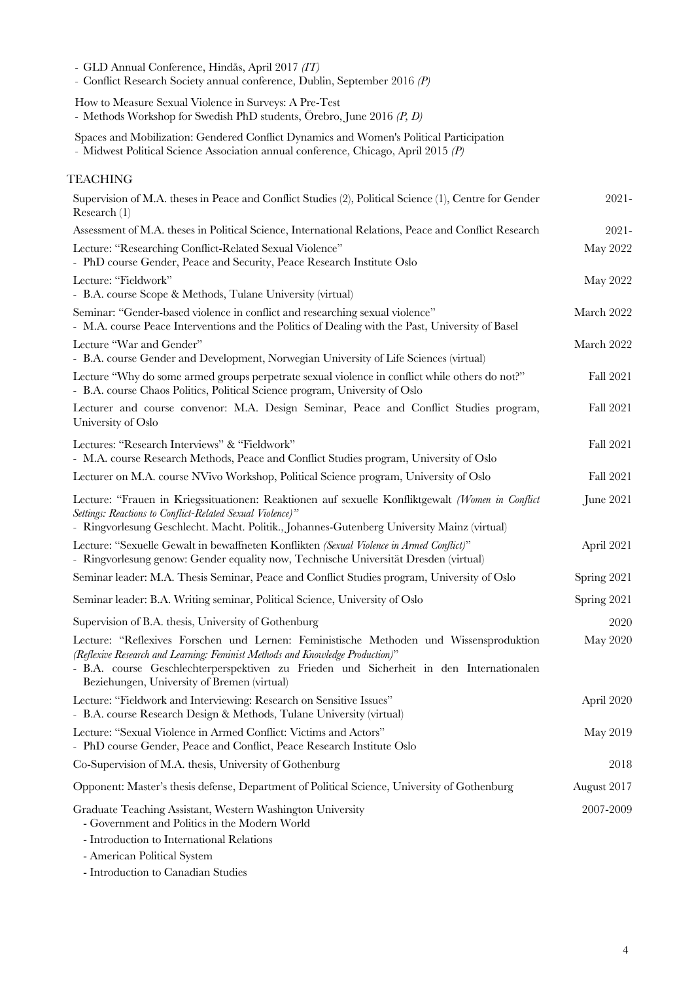| - GLD Annual Conference, Hindås, April 2017 (IT)<br>- Conflict Research Society annual conference, Dublin, September 2016 (P)                                                                                                                                                                                     |                  |
|-------------------------------------------------------------------------------------------------------------------------------------------------------------------------------------------------------------------------------------------------------------------------------------------------------------------|------------------|
| How to Measure Sexual Violence in Surveys: A Pre-Test<br>- Methods Workshop for Swedish PhD students, Örebro, June 2016 $(P, D)$                                                                                                                                                                                  |                  |
| Spaces and Mobilization: Gendered Conflict Dynamics and Women's Political Participation<br>- Midwest Political Science Association annual conference, Chicago, April 2015 (P)                                                                                                                                     |                  |
| <b>TEACHING</b>                                                                                                                                                                                                                                                                                                   |                  |
| Supervision of M.A. theses in Peace and Conflict Studies (2), Political Science (1), Centre for Gender<br>Research $(1)$                                                                                                                                                                                          | $2021 -$         |
| Assessment of M.A. theses in Political Science, International Relations, Peace and Conflict Research                                                                                                                                                                                                              | $2021 -$         |
| Lecture: "Researching Conflict-Related Sexual Violence"<br>- PhD course Gender, Peace and Security, Peace Research Institute Oslo                                                                                                                                                                                 | May 2022         |
| Lecture: "Fieldwork"<br>- B.A. course Scope & Methods, Tulane University (virtual)                                                                                                                                                                                                                                | May 2022         |
| Seminar: "Gender-based violence in conflict and researching sexual violence"<br>- M.A. course Peace Interventions and the Politics of Dealing with the Past, University of Basel                                                                                                                                  | March 2022       |
| Lecture "War and Gender"<br>- B.A. course Gender and Development, Norwegian University of Life Sciences (virtual)                                                                                                                                                                                                 | March 2022       |
| Lecture "Why do some armed groups perpetrate sexual violence in conflict while others do not?"<br>- B.A. course Chaos Politics, Political Science program, University of Oslo                                                                                                                                     | <b>Fall 2021</b> |
| Lecturer and course convenor: M.A. Design Seminar, Peace and Conflict Studies program,<br>University of Oslo                                                                                                                                                                                                      | Fall 2021        |
| Lectures: "Research Interviews" & "Fieldwork"<br>- M.A. course Research Methods, Peace and Conflict Studies program, University of Oslo                                                                                                                                                                           | Fall 2021        |
| Lecturer on M.A. course NVivo Workshop, Political Science program, University of Oslo                                                                                                                                                                                                                             | Fall 2021        |
| Lecture: "Frauen in Kriegssituationen: Reaktionen auf sexuelle Konfliktgewalt (Women in Conflict<br>Settings: Reactions to Conflict-Related Sexual Violence)"<br>- Ringvorlesung Geschlecht. Macht. Politik., Johannes-Gutenberg University Mainz (virtual)                                                       | June 2021        |
| Lecture: "Sexuelle Gewalt in bewaffneten Konflikten (Sexual Violence in Armed Conflict)"<br>- Ringvorlesung genow: Gender equality now, Technische Universität Dresden (virtual)                                                                                                                                  | April 2021       |
| Seminar leader: M.A. Thesis Seminar, Peace and Conflict Studies program, University of Oslo                                                                                                                                                                                                                       | Spring 2021      |
| Seminar leader: B.A. Writing seminar, Political Science, University of Oslo                                                                                                                                                                                                                                       | Spring 2021      |
| Supervision of B.A. thesis, University of Gothenburg                                                                                                                                                                                                                                                              | 2020             |
| Lecture: "Reflexives Forschen und Lernen: Feministische Methoden und Wissensproduktion<br>(Reflexive Research and Learning: Feminist Methods and Knowledge Production)"<br>- B.A. course Geschlechterperspektiven zu Frieden und Sicherheit in den Internationalen<br>Beziehungen, University of Bremen (virtual) | <b>May 2020</b>  |
| Lecture: "Fieldwork and Interviewing: Research on Sensitive Issues"<br>- B.A. course Research Design & Methods, Tulane University (virtual)                                                                                                                                                                       | April 2020       |
| Lecture: "Sexual Violence in Armed Conflict: Victims and Actors"<br>- PhD course Gender, Peace and Conflict, Peace Research Institute Oslo                                                                                                                                                                        | May 2019         |
| Co-Supervision of M.A. thesis, University of Gothenburg                                                                                                                                                                                                                                                           | 2018             |
| Opponent: Master's thesis defense, Department of Political Science, University of Gothenburg                                                                                                                                                                                                                      | August 2017      |
| Graduate Teaching Assistant, Western Washington University<br>- Government and Politics in the Modern World<br>- Introduction to International Relations<br>- American Political System                                                                                                                           | 2007-2009        |

- Introduction to Canadian Studies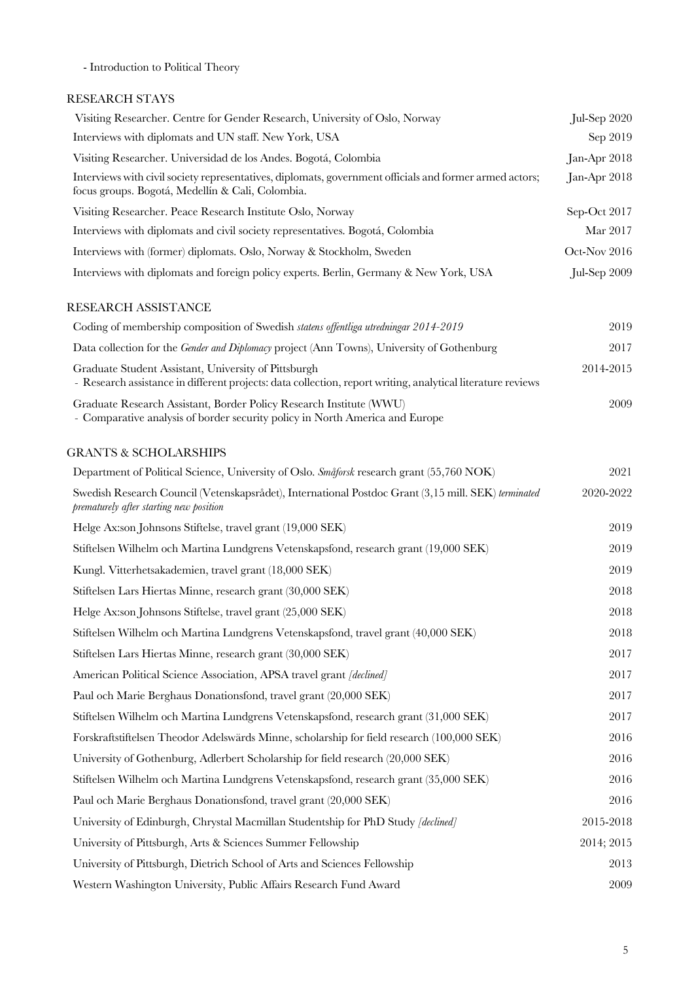- Introduction to Political Theory

# RESEARCH STAYS

| Visiting Researcher. Centre for Gender Research, University of Oslo, Norway                                                                                         | $Jul-Sep 2020$ |
|---------------------------------------------------------------------------------------------------------------------------------------------------------------------|----------------|
| Interviews with diplomats and UN staff. New York, USA                                                                                                               | Sep 2019       |
| Visiting Researcher. Universidad de los Andes. Bogotá, Colombia                                                                                                     | Jan-Apr 2018   |
| Interviews with civil society representatives, diplomats, government officials and former armed actors;<br>focus groups. Bogotá, Medellín & Cali, Colombia.         | Jan-Apr 2018   |
| Visiting Researcher. Peace Research Institute Oslo, Norway                                                                                                          | Sep-Oct 2017   |
| Interviews with diplomats and civil society representatives. Bogotá, Colombia                                                                                       | Mar 2017       |
| Interviews with (former) diplomats. Oslo, Norway & Stockholm, Sweden                                                                                                | Oct-Nov 2016   |
| Interviews with diplomats and foreign policy experts. Berlin, Germany & New York, USA                                                                               | Jul-Sep 2009   |
| RESEARCH ASSISTANCE                                                                                                                                                 |                |
| Coding of membership composition of Swedish statens offentliga utredningar 2014-2019                                                                                | 2019           |
| Data collection for the <i>Gender and Diplomacy</i> project (Ann Towns), University of Gothenburg                                                                   | 2017           |
| Graduate Student Assistant, University of Pittsburgh<br>- Research assistance in different projects: data collection, report writing, analytical literature reviews | 2014-2015      |
| Graduate Research Assistant, Border Policy Research Institute (WWU)<br>- Comparative analysis of border security policy in North America and Europe                 | 2009           |
| <b>GRANTS &amp; SCHOLARSHIPS</b>                                                                                                                                    |                |
| Department of Political Science, University of Oslo. Småforsk research grant (55,760 NOK)                                                                           | 2021           |
| Swedish Research Council (Vetenskapsrådet), International Postdoc Grant (3,15 mill. SEK) terminated<br>prematurely after starting new position                      | 2020-2022      |
| Helge Ax:son Johnsons Stiftelse, travel grant (19,000 SEK)                                                                                                          | 2019           |
| Stiftelsen Wilhelm och Martina Lundgrens Vetenskapsfond, research grant (19,000 SEK)                                                                                | 2019           |
| Kungl. Vitterhetsakademien, travel grant (18,000 SEK)                                                                                                               | 2019           |
| Stiftelsen Lars Hiertas Minne, research grant (30,000 SEK)                                                                                                          | 2018           |
| Helge Ax:son Johnsons Stiftelse, travel grant (25,000 SEK)                                                                                                          | 2018           |
| Stiftelsen Wilhelm och Martina Lundgrens Vetenskapsfond, travel grant (40,000 SEK)                                                                                  | 2018           |
| Stiftelsen Lars Hiertas Minne, research grant (30,000 SEK)                                                                                                          | 2017           |
| American Political Science Association, APSA travel grant [declined]                                                                                                | 2017           |
| Paul och Marie Berghaus Donationsfond, travel grant (20,000 SEK)                                                                                                    | 2017           |
| Stiftelsen Wilhelm och Martina Lundgrens Vetenskapsfond, research grant (31,000 SEK)                                                                                | 2017           |
| Forskraftstiftelsen Theodor Adelswärds Minne, scholarship for field research (100,000 SEK)                                                                          | 2016           |
| University of Gothenburg, Adlerbert Scholarship for field research (20,000 SEK)                                                                                     | 2016           |
| Stiftelsen Wilhelm och Martina Lundgrens Vetenskapsfond, research grant (35,000 SEK)                                                                                | 2016           |
| Paul och Marie Berghaus Donationsfond, travel grant (20,000 SEK)                                                                                                    | 2016           |
| University of Edinburgh, Chrystal Macmillan Studentship for PhD Study [declined]                                                                                    | 2015-2018      |
| University of Pittsburgh, Arts & Sciences Summer Fellowship                                                                                                         | 2014; 2015     |
| University of Pittsburgh, Dietrich School of Arts and Sciences Fellowship                                                                                           | 2013           |
| Western Washington University, Public Affairs Research Fund Award                                                                                                   | 2009           |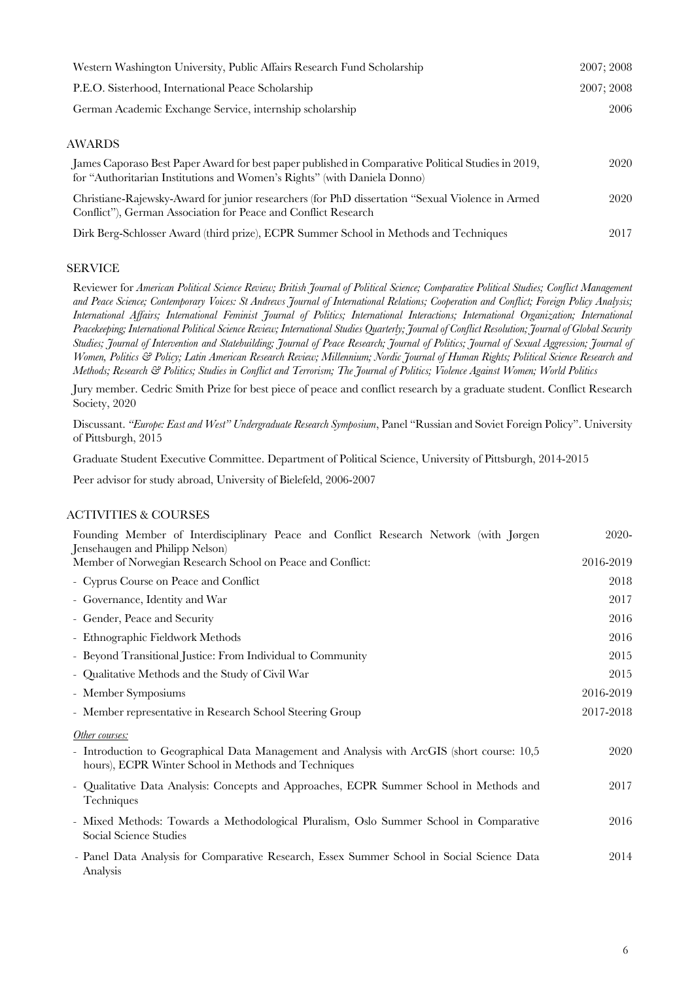| Western Washington University, Public Affairs Research Fund Scholarship                                                                                                        | 2007: 2008 |
|--------------------------------------------------------------------------------------------------------------------------------------------------------------------------------|------------|
| P.E.O. Sisterhood, International Peace Scholarship                                                                                                                             | 2007; 2008 |
| German Academic Exchange Service, internship scholarship                                                                                                                       | 2006       |
| AWARDS                                                                                                                                                                         |            |
| James Caporaso Best Paper Award for best paper published in Comparative Political Studies in 2019,<br>for "Authoritarian Institutions and Women's Rights" (with Daniela Donno) | 2020       |
| Christiane-Rajewsky-Award for junior researchers (for PhD dissertation "Sexual Violence in Armed<br>Conflict"), German Association for Peace and Conflict Research             | 2020       |

Dirk Berg-Schlosser Award (third prize), ECPR Summer School in Methods and Techniques 2017

# SERVICE

Reviewer for *American Political Science Review; British Journal of Political Science; Comparative Political Studies; Conflict Management and Peace Science; Contemporary Voices: St Andrews Journal of International Relations; Cooperation and Conflict; Foreign Policy Analysis; International Affairs; International Feminist Journal of Politics; International Interactions; International Organization; International Peacekeeping; International Political Science Review; International Studies Quarterly; Journal of Conflict Resolution; Journal of Global Security Studies; Journal of Intervention and Statebuilding; Journal of Peace Research; Journal of Politics; Journal of Sexual Aggression; Journal of Women, Politics & Policy; Latin American Research Review; Millennium; Nordic Journal of Human Rights; Political Science Research and Methods; Research & Politics; Studies in Conflict and Terrorism; The Journal of Politics; Violence Against Women; World Politics*

Jury member. Cedric Smith Prize for best piece of peace and conflict research by a graduate student. Conflict Research Society, 2020

Discussant. *"Europe: East and West" Undergraduate Research Symposium*, Panel "Russian and Soviet Foreign Policy". University of Pittsburgh, 2015

Graduate Student Executive Committee. Department of Political Science, University of Pittsburgh, 2014-2015

Peer advisor for study abroad, University of Bielefeld, 2006-2007

#### ACTIVITIES & COURSES

| Founding Member of Interdisciplinary Peace and Conflict Research Network (with Jørgen<br>Jensehaugen and Philipp Nelson)                             | 2020-     |
|------------------------------------------------------------------------------------------------------------------------------------------------------|-----------|
| Member of Norwegian Research School on Peace and Conflict:                                                                                           | 2016-2019 |
| - Cyprus Course on Peace and Conflict                                                                                                                | 2018      |
| - Governance, Identity and War                                                                                                                       | 2017      |
| - Gender, Peace and Security                                                                                                                         | 2016      |
| - Ethnographic Fieldwork Methods                                                                                                                     | 2016      |
| - Beyond Transitional Justice: From Individual to Community                                                                                          | 2015      |
| - Qualitative Methods and the Study of Civil War                                                                                                     | 2015      |
| - Member Symposiums                                                                                                                                  | 2016-2019 |
| - Member representative in Research School Steering Group                                                                                            | 2017-2018 |
| Other courses:                                                                                                                                       |           |
| - Introduction to Geographical Data Management and Analysis with ArcGIS (short course: 10,5)<br>hours), ECPR Winter School in Methods and Techniques | 2020      |
| - Qualitative Data Analysis: Concepts and Approaches, ECPR Summer School in Methods and<br>Techniques                                                | 2017      |
| - Mixed Methods: Towards a Methodological Pluralism, Oslo Summer School in Comparative<br>Social Science Studies                                     | 2016      |
| - Panel Data Analysis for Comparative Research, Essex Summer School in Social Science Data<br>Analysis                                               | 2014      |